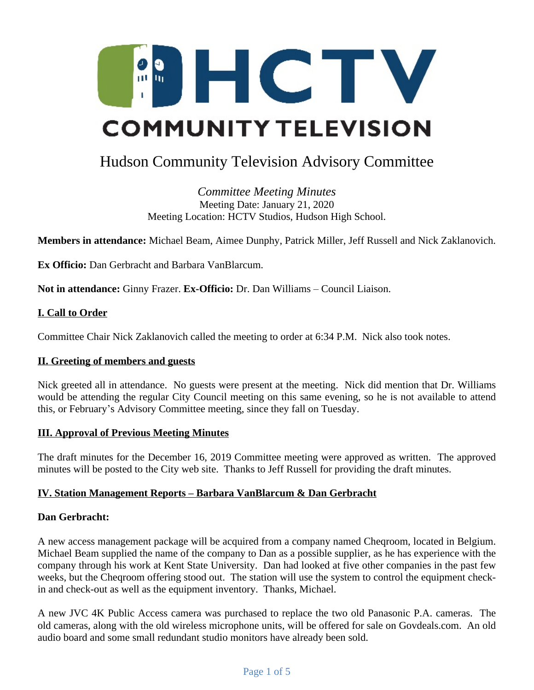

# Hudson Community Television Advisory Committee

*Committee Meeting Minutes* Meeting Date: January 21, 2020 Meeting Location: HCTV Studios, Hudson High School.

**Members in attendance:** Michael Beam, Aimee Dunphy, Patrick Miller, Jeff Russell and Nick Zaklanovich.

**Ex Officio:** Dan Gerbracht and Barbara VanBlarcum.

**Not in attendance:** Ginny Frazer. **Ex-Officio:** Dr. Dan Williams – Council Liaison.

## **I. Call to Order**

Committee Chair Nick Zaklanovich called the meeting to order at 6:34 P.M. Nick also took notes.

### **II. Greeting of members and guests**

Nick greeted all in attendance. No guests were present at the meeting. Nick did mention that Dr. Williams would be attending the regular City Council meeting on this same evening, so he is not available to attend this, or February's Advisory Committee meeting, since they fall on Tuesday.

### **III. Approval of Previous Meeting Minutes**

The draft minutes for the December 16, 2019 Committee meeting were approved as written. The approved minutes will be posted to the City web site. Thanks to Jeff Russell for providing the draft minutes.

### **IV. Station Management Reports – Barbara VanBlarcum & Dan Gerbracht**

## **Dan Gerbracht:**

A new access management package will be acquired from a company named Cheqroom, located in Belgium. Michael Beam supplied the name of the company to Dan as a possible supplier, as he has experience with the company through his work at Kent State University. Dan had looked at five other companies in the past few weeks, but the Cheqroom offering stood out. The station will use the system to control the equipment checkin and check-out as well as the equipment inventory. Thanks, Michael.

A new JVC 4K Public Access camera was purchased to replace the two old Panasonic P.A. cameras. The old cameras, along with the old wireless microphone units, will be offered for sale on Govdeals.com. An old audio board and some small redundant studio monitors have already been sold.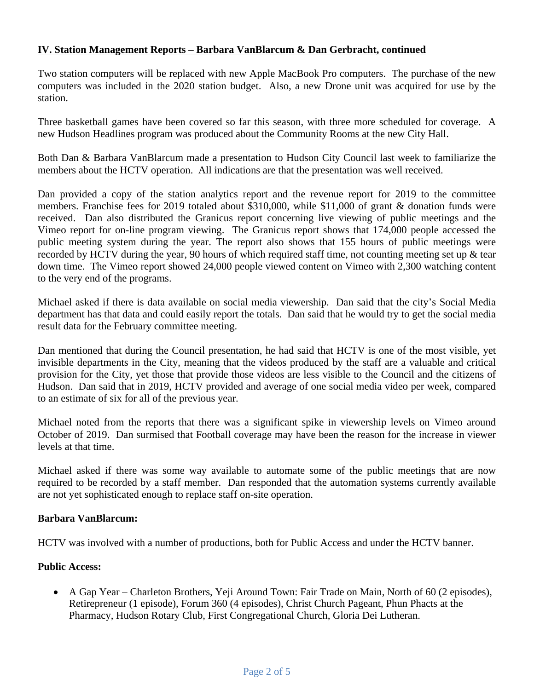## **IV. Station Management Reports – Barbara VanBlarcum & Dan Gerbracht, continued**

Two station computers will be replaced with new Apple MacBook Pro computers. The purchase of the new computers was included in the 2020 station budget. Also, a new Drone unit was acquired for use by the station.

Three basketball games have been covered so far this season, with three more scheduled for coverage. A new Hudson Headlines program was produced about the Community Rooms at the new City Hall.

Both Dan & Barbara VanBlarcum made a presentation to Hudson City Council last week to familiarize the members about the HCTV operation. All indications are that the presentation was well received.

Dan provided a copy of the station analytics report and the revenue report for 2019 to the committee members. Franchise fees for 2019 totaled about \$310,000, while \$11,000 of grant & donation funds were received. Dan also distributed the Granicus report concerning live viewing of public meetings and the Vimeo report for on-line program viewing. The Granicus report shows that 174,000 people accessed the public meeting system during the year. The report also shows that 155 hours of public meetings were recorded by HCTV during the year, 90 hours of which required staff time, not counting meeting set up & tear down time. The Vimeo report showed 24,000 people viewed content on Vimeo with 2,300 watching content to the very end of the programs.

Michael asked if there is data available on social media viewership. Dan said that the city's Social Media department has that data and could easily report the totals. Dan said that he would try to get the social media result data for the February committee meeting.

Dan mentioned that during the Council presentation, he had said that HCTV is one of the most visible, yet invisible departments in the City, meaning that the videos produced by the staff are a valuable and critical provision for the City, yet those that provide those videos are less visible to the Council and the citizens of Hudson. Dan said that in 2019, HCTV provided and average of one social media video per week, compared to an estimate of six for all of the previous year.

Michael noted from the reports that there was a significant spike in viewership levels on Vimeo around October of 2019. Dan surmised that Football coverage may have been the reason for the increase in viewer levels at that time.

Michael asked if there was some way available to automate some of the public meetings that are now required to be recorded by a staff member. Dan responded that the automation systems currently available are not yet sophisticated enough to replace staff on-site operation.

### **Barbara VanBlarcum:**

HCTV was involved with a number of productions, both for Public Access and under the HCTV banner.

### **Public Access:**

 A Gap Year – Charleton Brothers, Yeji Around Town: Fair Trade on Main, North of 60 (2 episodes), Retirepreneur (1 episode), Forum 360 (4 episodes), Christ Church Pageant, Phun Phacts at the Pharmacy, Hudson Rotary Club, First Congregational Church, Gloria Dei Lutheran.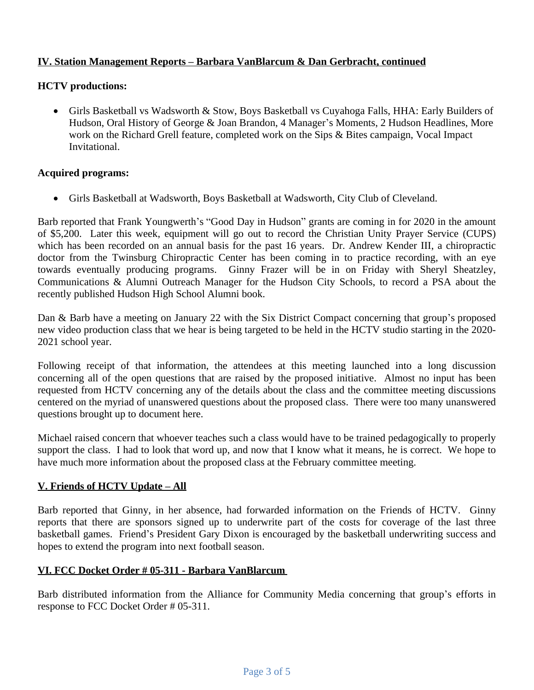# **IV. Station Management Reports – Barbara VanBlarcum & Dan Gerbracht, continued**

## **HCTV productions:**

 Girls Basketball vs Wadsworth & Stow, Boys Basketball vs Cuyahoga Falls, HHA: Early Builders of Hudson, Oral History of George & Joan Brandon, 4 Manager's Moments, 2 Hudson Headlines, More work on the Richard Grell feature, completed work on the Sips & Bites campaign, Vocal Impact Invitational.

### **Acquired programs:**

Girls Basketball at Wadsworth, Boys Basketball at Wadsworth, City Club of Cleveland.

Barb reported that Frank Youngwerth's "Good Day in Hudson" grants are coming in for 2020 in the amount of \$5,200. Later this week, equipment will go out to record the Christian Unity Prayer Service (CUPS) which has been recorded on an annual basis for the past 16 years. Dr. Andrew Kender III, a chiropractic doctor from the Twinsburg Chiropractic Center has been coming in to practice recording, with an eye towards eventually producing programs. Ginny Frazer will be in on Friday with Sheryl Sheatzley, Communications & Alumni Outreach Manager for the Hudson City Schools, to record a PSA about the recently published Hudson High School Alumni book.

Dan & Barb have a meeting on January 22 with the Six District Compact concerning that group's proposed new video production class that we hear is being targeted to be held in the HCTV studio starting in the 2020- 2021 school year.

Following receipt of that information, the attendees at this meeting launched into a long discussion concerning all of the open questions that are raised by the proposed initiative. Almost no input has been requested from HCTV concerning any of the details about the class and the committee meeting discussions centered on the myriad of unanswered questions about the proposed class. There were too many unanswered questions brought up to document here.

Michael raised concern that whoever teaches such a class would have to be trained pedagogically to properly support the class. I had to look that word up, and now that I know what it means, he is correct. We hope to have much more information about the proposed class at the February committee meeting.

# **V. Friends of HCTV Update – All**

Barb reported that Ginny, in her absence, had forwarded information on the Friends of HCTV. Ginny reports that there are sponsors signed up to underwrite part of the costs for coverage of the last three basketball games. Friend's President Gary Dixon is encouraged by the basketball underwriting success and hopes to extend the program into next football season.

# **VI. FCC Docket Order # 05-311 - Barbara VanBlarcum**

Barb distributed information from the Alliance for Community Media concerning that group's efforts in response to FCC Docket Order # 05-311.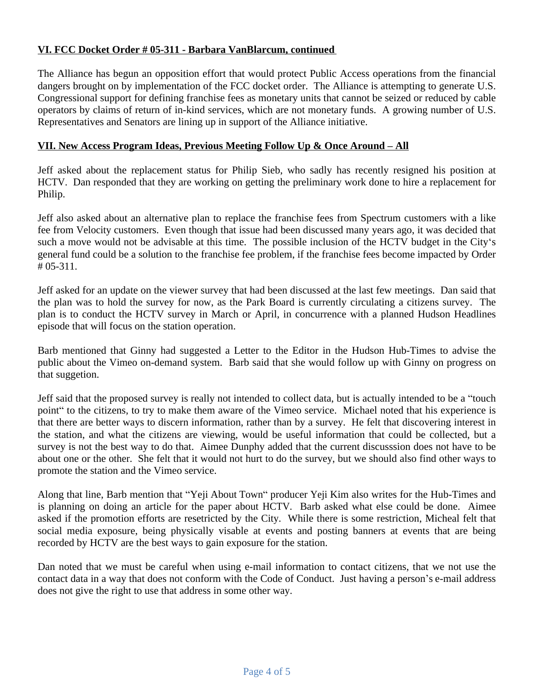# **VI. FCC Docket Order # 05-311 - Barbara VanBlarcum, continued**

The Alliance has begun an opposition effort that would protect Public Access operations from the financial dangers brought on by implementation of the FCC docket order. The Alliance is attempting to generate U.S. Congressional support for defining franchise fees as monetary units that cannot be seized or reduced by cable operators by claims of return of in-kind services, which are not monetary funds. A growing number of U.S. Representatives and Senators are lining up in support of the Alliance initiative.

# **VII. New Access Program Ideas, Previous Meeting Follow Up & Once Around – All**

Jeff asked about the replacement status for Philip Sieb, who sadly has recently resigned his position at HCTV. Dan responded that they are working on getting the preliminary work done to hire a replacement for Philip.

Jeff also asked about an alternative plan to replace the franchise fees from Spectrum customers with a like fee from Velocity customers. Even though that issue had been discussed many years ago, it was decided that such a move would not be advisable at this time. The possible inclusion of the HCTV budget in the City's general fund could be a solution to the franchise fee problem, if the franchise fees become impacted by Order # 05-311.

Jeff asked for an update on the viewer survey that had been discussed at the last few meetings. Dan said that the plan was to hold the survey for now, as the Park Board is currently circulating a citizens survey. The plan is to conduct the HCTV survey in March or April, in concurrence with a planned Hudson Headlines episode that will focus on the station operation.

Barb mentioned that Ginny had suggested a Letter to the Editor in the Hudson Hub-Times to advise the public about the Vimeo on-demand system. Barb said that she would follow up with Ginny on progress on that suggetion.

Jeff said that the proposed survey is really not intended to collect data, but is actually intended to be a "touch point" to the citizens, to try to make them aware of the Vimeo service. Michael noted that his experience is that there are better ways to discern information, rather than by a survey. He felt that discovering interest in the station, and what the citizens are viewing, would be useful information that could be collected, but a survey is not the best way to do that. Aimee Dunphy added that the current discusssion does not have to be about one or the other. She felt that it would not hurt to do the survey, but we should also find other ways to promote the station and the Vimeo service.

Along that line, Barb mention that "Yeji About Town" producer Yeji Kim also writes for the Hub-Times and is planning on doing an article for the paper about HCTV. Barb asked what else could be done. Aimee asked if the promotion efforts are resetricted by the City. While there is some restriction, Micheal felt that social media exposure, being physically visable at events and posting banners at events that are being recorded by HCTV are the best ways to gain exposure for the station.

Dan noted that we must be careful when using e-mail information to contact citizens, that we not use the contact data in a way that does not conform with the Code of Conduct. Just having a person's e-mail address does not give the right to use that address in some other way.